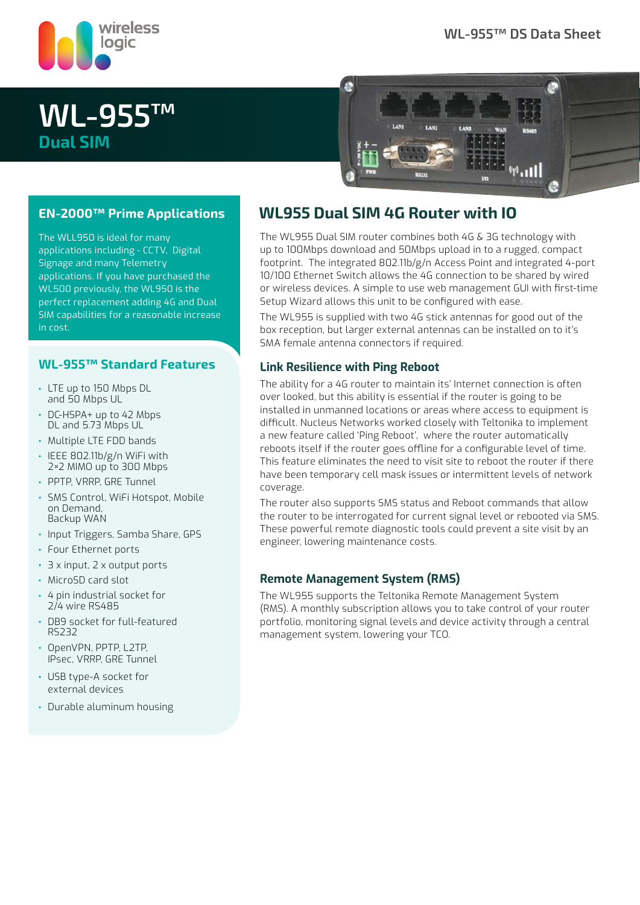

# **WL-955™ Dual SIM**



### **EN-2000™ Prime Applications**

The WLL950 is ideal for many applications including - CCTV, Digital Signage and many Telemetry applications. If you have purchased the WL500 previously, the WL950 is the perfect replacement adding 4G and Dual SIM capabilities for a reasonable increase in cost.

### **WL-955™ Standard Features**

- LTE up to 150 Mbps DL and 50 Mbps UL
- DC-HSPA+ up to 42 Mbps DL and 5.73 Mbps UL
- Multiple LTE FDD bands
- IEEE 802.11b/g/n WiFi with 2×2 MIMO up to 300 Mbps
- PPTP, VRRP, GRE Tunnel
- SMS Control, WiFi Hotspot, Mobile on Demand, Backup WAN
- Input Triggers, Samba Share, GPS
- Four Ethernet ports
- 3 x input, 2 x output ports
- MicroSD card slot
- 4 pin industrial socket for 2/4 wire RS485
- DB9 socket for full-featured RS232
- OpenVPN, PPTP, L2TP, IPsec, VRRP, GRE Tunnel
- USB type-A socket for external devices
- Durable aluminum housing

### **WL955 Dual SIM 4G Router with IO**

The WL955 Dual SIM router combines both 4G & 3G technology with up to 100Mbps download and 50Mbps upload in to a rugged, compact footprint. The integrated 802.11b/g/n Access Point and integrated 4-port 10/100 Ethernet Switch allows the 4G connection to be shared by wired or wireless devices. A simple to use web management GUI with first-time Setup Wizard allows this unit to be configured with ease.

The WL955 is supplied with two 4G stick antennas for good out of the box reception, but larger external antennas can be installed on to it's SMA female antenna connectors if required.

#### **Link Resilience with Ping Reboot**

The ability for a 4G router to maintain its' Internet connection is often over looked, but this ability is essential if the router is going to be installed in unmanned locations or areas where access to equipment is difficult. Nucleus Networks worked closely with Teltonika to implement a new feature called 'Ping Reboot', where the router automatically reboots itself if the router goes offline for a configurable level of time. This feature eliminates the need to visit site to reboot the router if there have been temporary cell mask issues or intermittent levels of network coverage.

The router also supports SMS status and Reboot commands that allow the router to be interrogated for current signal level or rebooted via SMS. These powerful remote diagnostic tools could prevent a site visit by an engineer, lowering maintenance costs.

### **Remote Management System (RMS)**

The WL955 supports the Teltonika Remote Management System (RMS). A monthly subscription allows you to take control of your router portfolio, monitoring signal levels and device activity through a central management system, lowering your TCO.